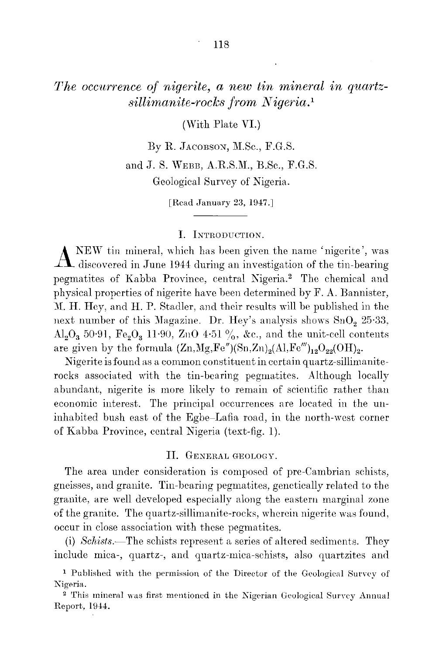# *The occurrence of nigerite*, *a new tin mineral in quartzsillimanite-rocks from N igeria.1*

(With Plate YI.)

By R. JACOBSON, M.Sc., F.G.S.

and J. S. WEBB,A.R.S.M., B.Sc., F.G.S. Geological Survey of Nigeria.

[Read January 23, 1947.]

### **I.** INTRODUCTION.

 $\Lambda$ <sup>NEW</sup> tin mineral, which has been given the name 'nigerite', was discovered in June 1944 during an investigation of the tin-bearing KEW tin mineral, which has been given the name 'nigerite', was pegmatites of Kabba Province, central Kigeria.2 The chemical and physical properties of nigerite have been determined by F. A. Bannister, M. H. Hey, and H. P. Stadler, and their results will be published in the next number of this Magazine. Dr. Hey's analysis shows  $SnO<sub>2</sub> 25·33$ , Al<sub>2</sub>O<sub>3</sub> 50.91, Fe<sub>2</sub>O<sub>3</sub> 11.90, ZnO 4.51 %, &c., and the unit-cell contents are given by the formula  $(Zn,Mg,Fe'')(Sn,Zn)<sub>2</sub>(Al,Fe''')<sub>12</sub>O<sub>22</sub>(OH)<sub>2</sub>.$ 

Nigerite is found as a common constituent in certain quartz-sillimaniterocks associated with the tin-bearing pegmatites. Although locally abundant, nigerite is more likely to remain of scientific rather than economic interest. The principal occurrences are located in the uninhabited bush east of the Egbe-Lafia road, in the north-west corner of Kabba Province, central Nigeria (text-fig. 1).

#### II. GENERALGEOLOGY.

The area under consideration is composed of pre-Cambrian schists, gneisses, and granite. Tin-bearing pegmatites, genetically related to the granite, are well developed especialJy along the eastern marginal zone of the granite. The quartz-sillimanite-rocks, wherein nigerite was found, occur in close association with these pegmatites.

(i) *Schists.*—The schists represent a series of altered sediments. They include mica-, quartz-, and quartz-mica-schists, also quartzites and

<sup>&</sup>lt;sup>1</sup> Published with the permission of the Director of the Geological Survey of Kigeria.

<sup>&</sup>lt;sup>2</sup> This mineral was first mentioned in the Nigerian Geological Survey Annu Report, 1944.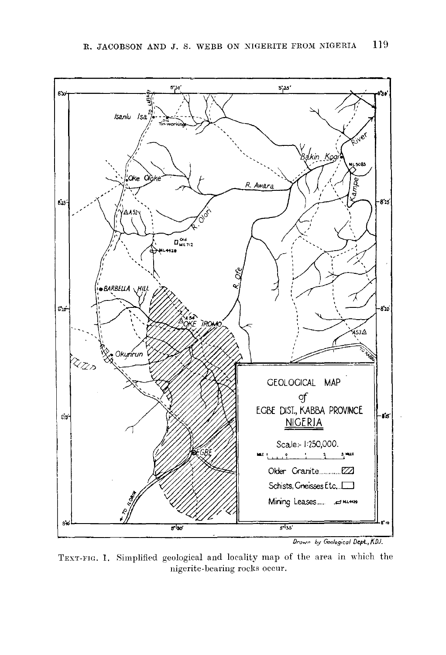

TEXT-FIG. 1. Simplified geological and locality map of the area in which the **nigerite- bearing rocks occur.**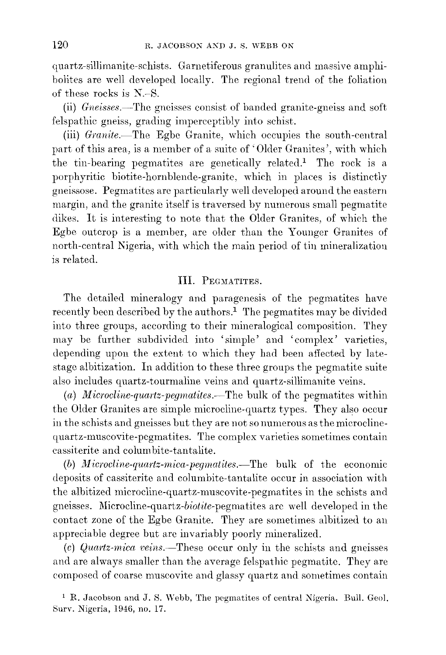quartz-sillimanite-schists. Garnetiferous granulites and massive amphibolites are well developed locally. The regional trend of the foliation of these rocks is N.-S.

(ii) *Gneisses.~* The gneisses consist of banded granite-gneiss and soft felspathic gneiss, grading imperccptibly into schist.

(iii) *Granite.*—The Egbe Granite, which occupies the south-central part of this area, is a member of a suite of 'Older Granites', with which the tin-bearing pegmatites are genetically related.<sup>1</sup> The rock is a porphyritic biotite-hornblende-granitc, which in places is distinctly gneissose. Pegmatites are particularly \vell developed around the eastern margin, and the granite itself is traversed by numerous small pegmatite dikes. It is interesting to note that the Older Granites, of which the Egbe outcrop is a member, are older than the Younger Granites of north-central Nigeria, with which the main period of tin mineralization is related.

### **III.** PEGMATITES.

The detailed mineralogy and paragenesis of the pegmatites have recently been described by the authors.<sup>1</sup> The pegmatites may be divided into three groups, according to their mineralogical composition. They may be further subdivided into 'simple' and 'complex' varieties, depending upon the extent to which they had been affected by latestage albitization. In addition to these three groups the pegmatite suite also includes quartz-tourmaline veins and quartz-sillimanite veins.

*(a) Microcline-quartz-pegmatites.~The* bulk of the pegmatites within the Older Granites are simple microcline-quartz types. They also occur in the schists and gneisses but they are not so numerous as the microclinequartz-muscovite-pegmatites. The complex varieties sometimes contain cassiterite and columbite-tantalite.

(b) *Microcline-quartz-mica-pegmatites.*—The bulk of the economic deposits of cassiterite and columbite-tantalite occur in association with the albitized microcline-quartz-muscovite-pegmatites in the schists and gneisses. Microcline-quartz-biotite-pegmatites are well developed in the contact zone of the Egbe Granite. They are sometimes albitized to an appreciable degree but are invariably poorly mineralized.

*(c) Quartz-mica* veins.~These occur only in the schists and gneisses and are always smaller than the average felspathic pegmatite. They are composed of coarse muscovite and glassy quartz and sometimes contain

<sup>1</sup> R. Jacobson and J. S. Webb, The pegmatites of central Nigeria. Bull. Geol. Surv. Nigeria, 1946, no. 17.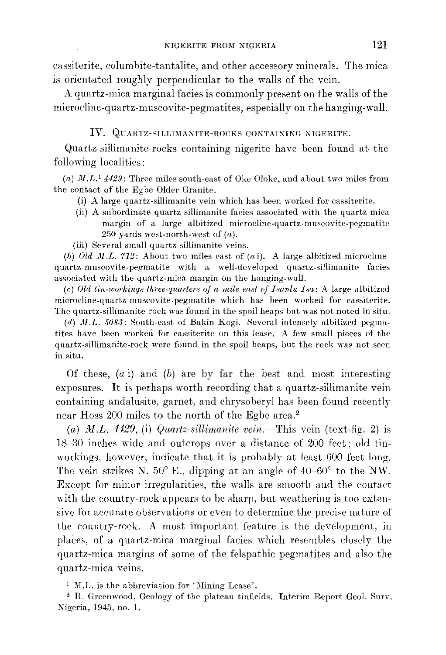cassiterite, columbite-tantalite, and other accessory minerals. The mica is orientated roughly perpendicular to the walls of the vein.

A quartz-mica marginal facies is commonly present on the walls of the microcline-quartz-muscovite-pegmatites, especially on the hanging-wall.

# IV. QUARTZ-SILLIMANITE-ROCKS CONTAINING NIGERITE.

Quartz-sillimanite-rocks containing nigerite have been found at the following localities:

(a) *M.L.*<sup>1</sup> 4429: Three miles south-east of Oke Oloke, and about two miles from the contact of the Egbe Older Granite.

- (i) A large quartz-sillimanite vein which has been worked for cassiterite.
- (ii) A subordinate quartz-sillimanite facies associated with the quartz-mica margin of a large albitized microcline-quartz-muscovite-pegmatite 250 yards west-north-wcst of *(a).*

(iii) Several small quartz-sillimanite veins.

*(6) Old M.L.* 712: About two miles east of *(a* i). A large albitized microclinequartz-muscovite-pegmatite with a well-developed quartz-sillimanite facies associated with the quartz-mica margin on the hanging-wall.

*(c) Old tin-workings three-quarters of a mile east of Isanlu Isa:* A large albitized microcline-quartz-muscovite-pegmatite which has been worked for cassiterite. The quartz-sillimanite-rock was found in the spoil heaps but was not noted in situ.

*(d) M.L.* 5083: South-east of Bakin Kogi. Several intensely albitized pegmatites have been worked for cassiterite on this lease. A few small pieces of the quartz-sillimanite-rock were found in the spoil heaps, but the rock was not seen **in situ.**

Of these, *(a* i) and *(b)* are by far the best and most interesting exposures. It is perhaps worth recording that a quartz-sillimanite vein containing andalusite, garnet, and chrysoberyl has been found recently near Hoss 200 miles to the north of the Egbe area.<sup>2</sup>

(a)  $M.L.$  4429, (i) *Quartz-sillimanite* vein.—This vein (text-fig. 2) is 18-30 inches wide and outcrops over a distance of 200 feet; old tinworkings, however, indicate that it is probably at least 600 feet long. The vein strikes N.  $50^{\circ}$  E., dipping at an angle of  $40-60^{\circ}$  to the NW. Except for minor irregularities, the walls are smooth and the contact with the country-rock appears to be sharp, but weathering is too extensive for accurate observations or even to determine the precise nature of the country-rock. A most important feature is the development, in places, of a quartz-mica marginal facies which resembles closely the quartz-mica margins of some of the felspathic pegmatites and also the quartz-mica veins.

 $^1$  M.L. is the abbreviation for 'Mining Lease

2 R. Greenwood, Geology of the plateau tinfields. Interim Report Geol. Burv. Nigeria, 1945, no. 1.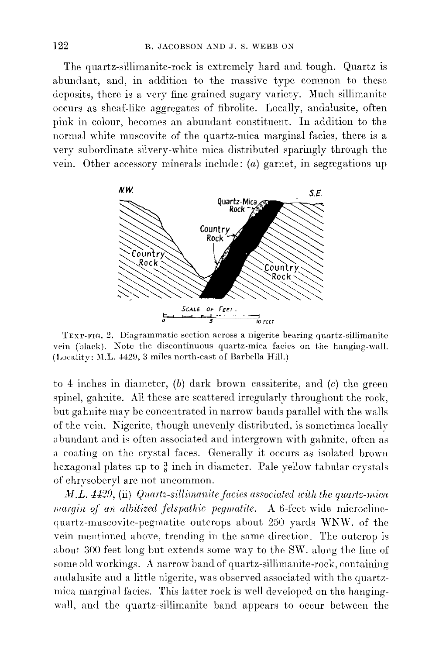The quartz-sillimanite-rock is extremely hard and tough. Quartz is abundant, and, in addition to the massive type common to these deposits, there is a very fine-grained sugary variety. Much sillimanite occurs as sheaf-like aggregates of fibrolite. Locally, andalusite, often pink in colour, becomes an abundant constituent. In addition to the normal white muscovite of the quartz-mica marginal facies, there is a very subordinate silvery-white mica distributed sparingly through the vem. Other accessory minerals include: *(a)* garnet, in segregations up



TEXT-FIG. 2. Diagrammatic section across a nigerite-bearing quartz-sillimanite vein (black). Note the discontinuous quartz-mica facies on the hanging-wall. (Locality: M.L. 4429, 3 miles north-east of Barbella Hill.)

to 4 inches in diameter, *(b)* dark brown cassiterite, and *(c)* the green spinel, gahnite. All these are scattered irregularly throughout the rock, hut gahnite may be concentrated in narrow bands parallel with the walls of the vein. Nigerite, though unevenly distrihuted, is sometimes locally abundant and is often associated and intergrown with gahnite, often as a coating on the crystal faces. Generally it occurs as isolated brown hexagonal plates up to  $\frac{3}{8}$  inch in diameter. Pale yellow tabular crystals of chrysoheryl are not uncommon.

*AI.L.* 4429, (ii) *Quartz-sillimanite facies associated with the quartz-mica III/argin* of an albitized felspathic pegmatite.-A 6-feet wide microclinequartz-muscovite-pegmatite outcrops about 250 yards WNW. of the vein mentioned ahove, trending in the same direction. The outcrop is about 300 feet long but extends some way to the SW. along the line of some old workings. A narrow hand of quartz-sillimanite-rock, containing andalusite and a little nigerite, was observed associated with the quartzmica marginal facies. This latter rock is well developed on the hangingwall, and the quartz-sillimanite band appears to occur betwcen the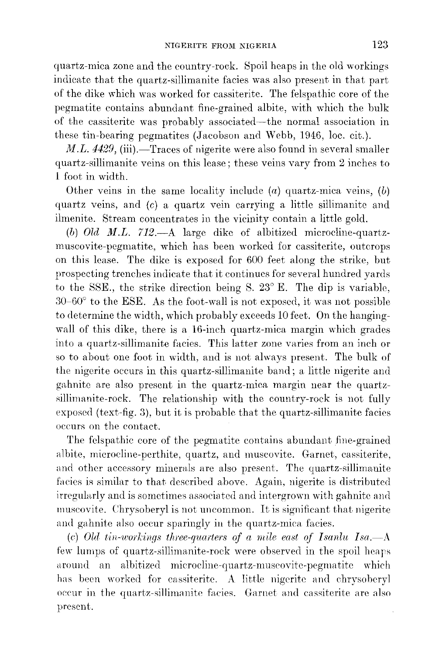quartz-mica zone and the country-rock. Spoil heaps in the old workings indicate that the quartz-sillimanite facies was also present in that part of the dike which was worked for cassiterite. The felspathic core of the pegmatite contains abundant fine-grained albite, with which the bulk of the cassiterite was probably associated-the normal association in these tin-bearing pegmatites (Jacobson and Webb, 1946, loc. cit.).

*M.L.* 4429, (iii).-Traces of nigerite were also found in several smaller quartz-sillimanite veins on this lease; these veins vary from 2 inches to 1 foot in width.

Other veins in the same locality include *(a)* quartz-mica veins, *(b)* quartz veins, and *(c)* a quartz vein carrying a little sillimanite and ilmenite. Stream concentrates in the vicinity contain a little gold.

*(b) Old M.L.* 712.-A large dike of albitized microcline-quartzmuscovite-pegmatite, which has been worked for cassiterite, outcrops on this lease. The dike is exposed for 600 feet along the strike, but prospecting trenches indicate that it continues for several hundred yards to the SSE., the strike direction being S. 23° E. The dip is variable, *30-6(P* to the ESE. As the foot-wall is not exposed, it was not possible to determine the width, which proba bly exceeds 10 feet. On the hangingwall of this dike, there is a 16-inch quartz-mica margin which grades into a quartz-sillimanite facies. This latter zone varies from an inch or so to about one foot in width, and is not always present. The bulk of the nigerite occurs in this quartz-sillimanite band; a little nigerite and gahnite are also present in the quartz-mica margin near the quartzsillimanite-rock. The relationship with the country-rock is not fully exposed (text-fig. 3), but it is probable that the quartz-sillimanite facies occurs on the contact.

The felspathic core of the pegmatite contains abundant fine-grained albite, microcline-perthite, quartz, and muscovite. Garnet, cassiterite, and other accessory minerals are also present. The quartz-sillimanite facies is similar to that described above. Again, nigerite is distributed irregularly and is sometimes associated and intergrown with gahnite and muscovite. Chrysoberyl is not uncommon. It is significant that nigerite and gahnite also occur sparingly in the quartz-mica facies.

*(c) Old tin-workings three-quarters of a mile east of Isanlu Isa.-A* few lumps of quartz-sillimanite-rock were observed in the spoil heap around an albitized microcline-quartz-muscovite-pegmatite which has been worked for cassiterite. A little nigerite and chrysoberyl occur in the quartz-sillimanite facies. Garnet and cassiterite are also present.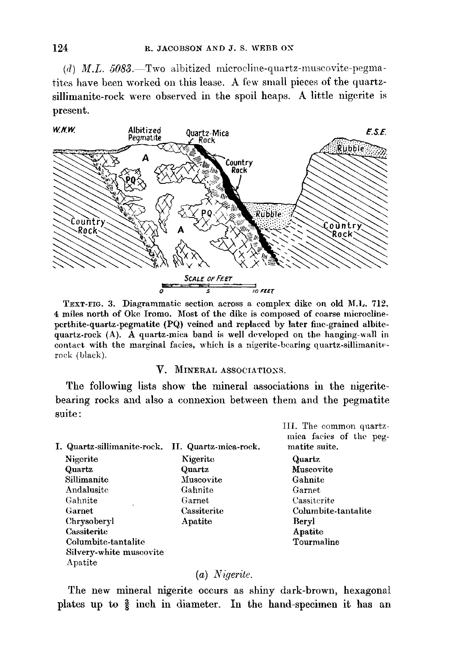$(d)$  *M.L.* 5083.—Two albitized microcline-quartz-muscovite-pegmatites have been worked on this lease. A few small pieces of the quartzsillimanite-rock were observed in the spoil heaps. A little nigerite is present.



TEXT-FIG. 3. Diagrammatic section across a complex dike on old M.L. 712. 4 miles north of Oke Iromo. Most of the dike is composed of coarse microclineperthite-quartz-pegmatite (PQ) veined and replaced by later fine-grained albitequartz-rock (A). A quartz-mica band is well developed on the hanging-wall in contact with the marginal facies, which is a nigerite-bcaring quartz-sillimaniterock (black).

#### V. MINERAL ASSOCIATIOXS.

The following lists show the mineral associations in the nigeritebearing rocks and also a connexion between them and the pegmatite suite:

I. Quartz-sillimanite-rock. II. Quartz-mica-rock. Nigcrite Quartz Sillimanite Andalusite Gahnite Garnet Chrysoberyl Cassiterite Columbite-tantalitc Silvery-white muscovite Apatite Kigeritc Quartz **Muscovite** Gahnite Garnet Cassiterite Apatite III. The common quartzmiea facies of the pegmatite suite. Quartz Muscovite Gahnite **Garnet** Cassiterite Columbite-tantalite Beryl Apatite Tourmaline

### (a) *Nigerite.*

The new mineral nigerite occurs as shiny dark-brown, hexagona plates up to  $\frac{3}{8}$  inch in diameter. In the hand-specimen it has an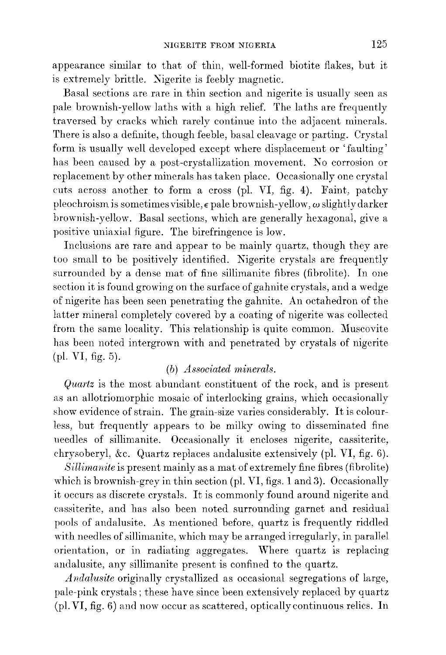appearance similar to that of thin, well-formed biotite flakes, but it is extremely brittle. Nigerite is feebly magnetic.

Basal sections are rare in thin section and nigerite is usually seen as pale brownish-yellow laths with a high relief. The laths are frequently traversed by cracks which rarely continue into the adjacent minerals. There is also a definite, though feeble, basal cleavage or parting. Crystal form is usually well developed except where displacement or 'faulting' has been caused by a post-crystallization movement. No corrosion or replacement by other minerals has taken place. Occasionally one crystal cuts across another to form a cross (pI. VI, fig. 4). Faint, patchy pleochroism is sometimes visible, Epale brownish-yellow, *w* slightly darker brownish-yellow. Basal sections, which are generally hexagonal, give a positive uniaxial figure. The birefringence is low.

Inclusions are rare and appear to be mainly quartz, though they are too small to be positively identified. Nigerite crystals are frequently surrounded by a dense mat of fine sillimanite fibres (fibrolite). In one section it is found growing on the surface of gahnite crystals, and a wedge of nigerite has been seen penetrating the gahnite. An octahedron of the latter mineral completely covered by a coating of nigerite was collected from the same locality. This relationship is quite common. Muscovite has been noted intergrown with and penetrated by crystals of nigerite (pI. VI, fig. 5).

### *(b) Associated minerals.*

*Quartz* is the most abundant constituent of the rock, and is present as an allotriomorphic mosaic of interlocking grains, which occasionally show evidence of strain. The grain-size varies considerably. It is colourless, but frequently appears to be milky owing to disseminated fine needles of sillimanite. Occasionally it encloses nigerite, cassiterite, chrysoberyl, &c. Quartz replaces andalusite extensively (pI. VI, fig. 6).

*Sillimanite* is present mainly as a mat of extremely fine fibres (fibrolite) which is brownish-grey in thin section (pI. VI, figs. 1 and 3). Occasionally it occurs as discrete crystals. It is commonly found around nigerite and cassiterite, and has also been noted surrounding garnet and residual pools of andalusite. As mentioned before, quartz is frequently riddled with needles of sillimanite, which may be arranged irregularly, in parallel orientation, or in radiating aggregates. Where quartz is replacing andalusite, any sillimanite present is confined to the quartz.

*Andalusite* originally crystallized as occasional segregations of large, pale-pink crystals; these have since been extensively replaced by quartz (pI. VI, fig. 6) and now occur as scattered, optically continuous relics. In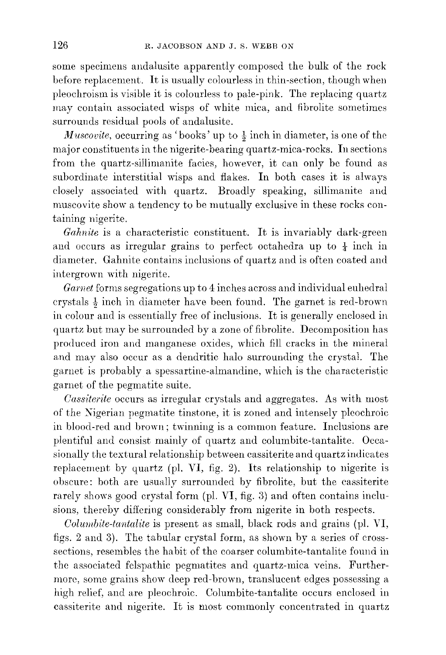some specimens andalusite apparently composed the bulk of the rock before replacement. It is usually colourless in thin-section, though when pleochroism is visible it is colourless to pale-pink. The replacing quartz may contain associated wisps of white mica, and fibrolite sometimes surrounds residual pools of andalusite.

*Muscovite,* occurring as 'books' up to  $\frac{1}{2}$  inch in diameter, is one of the major constituents in the nigerite-bearing quartz-mica-rocks. **In** sections from the quartz-sillimanite facies, however, it can only be found as subordinate interstitial wisps and flakes. In both cases it is always closely associated with quartz. Broadly speaking, sillimanite and muscovite show a tendency to be mutually exclusive in these rocks containing nigerite.

*Gahnite* is a characteristic constituent. It is invariably dark-green and occurs as irregular grains to perfect octahedra up to  $\frac{1}{4}$  inch in diameter. Gahnite contains inclusions of quartz and is often coated and intergrown with nigerite.

*Garnet* forms segregations up to 4 inches across and individual euhedral crystals  $\frac{1}{2}$  inch in diameter have been found. The garnet is red-brown in colour and is essentially free of inclusions. It is generalJy enclosed in quartz but may be surrounded by a zone of fibrolite. Decomposition has produced iron and manganese oxides, which fill cracks in the mineral and may also occur as a dendritic halo surrounding the crystal. The garnet is probably a spessartine-almandine, which is the characteristic garnet of the pegmatite suite.

*Cassiterite* occurs as irregular crystals and aggregates. As with most of the Nigerian pegmatite tinstone, it is zoned and intensely pleochroic in blood-red and brown; twinning is a common feature. Inclusions are plentiful and consist mainly of quartz and columbite-tantalite. Occasionally the textural relationship between cassiterite and quartz indicates replacement by quartz (pI. **VI,** fig. 2). Its relationship to nigerite is obscure: both are usually surrounded by fibrolite, but the cassiterite rarely shows good crystal form (pl. VI, fig. 3) and often contains inclusions, thereby differing considerably from nigerite in both respects.

*Columbite-tantalite* is present as small, black rods and grains (pl. VI, figs. 2 and 3). The tabular crystal form, as shown by a series of crosssections, resembles the habit of the coarser columbite-tantalite found in the associated felspathic pegmatites and quartz-mica veins. Furthermore, some grains show deep red-brown, translucent edges possessing a high relief, and are pleochroic. Columbite-tantalite occurs enclosed in cassiterite and nigerite. It is most commonly concentrated in quartz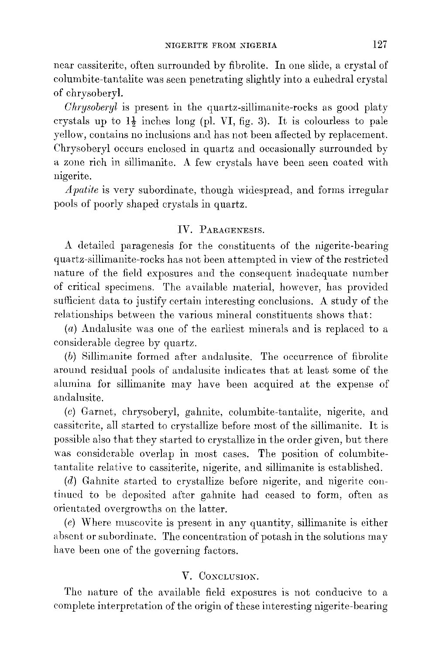near cassiterite, often surrounded by fibrolite. In one slide, a crystal of columbite-tantalite was seen penetrating slightly into a euhedral crystal of chrysoberyl.

*Ohrysoberyl* is present in the quartz-sillirnanite-rocks as good platy crystals up to  $1\frac{1}{2}$  inches long (pl. VI, fig. 3). It is colourless to pale yellow, contains no inclusions and has not been affected by replacement. Chrysoberyl occurs enclosed in quartz and occasionally surrounded by a zone rich in sillimanite. A few crystals have been seen coated with nigerite.

*Apatite* is very subordinate, though widespread, and forms irregular pools of poorly shaped crystals in quartz.

### IV. PARAGENESIS.

A detailed paragenesis for the constituents of the nigerite-bearing quartz-sillimanite-rocks has not been attempted in view of the restricted nature of the field exposures and the consequent inadequate number of critical specimens. The available material, however, has provided sufficient data to justify certain interesting conclusions. A study of the relationships between the various mineral constituents shows that:

*(a)* Andalusite was one of the earliest minerals and is replaced to a considerable degree by quartz.

*(b)* Sillimanite formed after andalusite. The occurrence of fibrolite around residual pools of andalusite indicates that at least some of the alumina for sillimanite may have been acquired at the expense of andalusite.

*(c)* Garnet, chrysoberyl, gahnite, columbite-tantalite, nigerite, and cassiterite, all started to crystallize before most of the sillimanite. It is possible also that they started to crystallize in the order given, but there was considerable overlap in most cases. The position of columbitetantalite relative to cassiterite, nigerite, and sillimanite is established.

*(d)* Gahnite started to crystallize before nigerite, and nigerite continued to be deposited after gahnite had ceased to form, often as orientated overgrowths on the latter.

*(e)* Where muscovite is present in any quantity, sillimanite is either absent or subordinate. The concentration of potash in the solutions may have been one of the governing factors.

# V. CONCLUSION.

The nature of the available field exposures is not conducive to a complete interpretation of the origin of these interesting nigerite-bearing